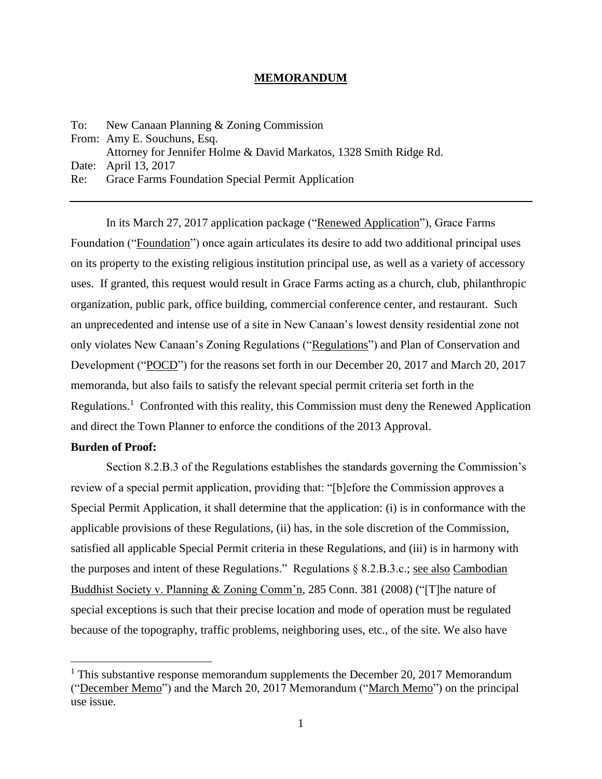#### **MEMORANDUM**

To: New Canaan Planning & Zoning Commission From: Amy E. Souchuns, Esq. Attorney for Jennifer Holme & David Markatos, 1328 Smith Ridge Rd. Date: April 13, 2017 Re: Grace Farms Foundation Special Permit Application

In its March 27, 2017 application package ("Renewed Application"), Grace Farms Foundation ("Foundation") once again articulates its desire to add two additional principal uses on its property to the existing religious institution principal use, as well as a variety of accessory uses. If granted, this request would result in Grace Farms acting as a church, club, philanthropic organization, public park, office building, commercial conference center, and restaurant. Such an unprecedented and intense use of a site in New Canaan's lowest density residential zone not only violates New Canaan's Zoning Regulations ("Regulations") and Plan of Conservation and Development ("POCD") for the reasons set forth in our December 20, 2017 and March 20, 2017 memoranda, but also fails to satisfy the relevant special permit criteria set forth in the Regulations.<sup>1</sup> Confronted with this reality, this Commission must deny the Renewed Application and direct the Town Planner to enforce the conditions of the 2013 Approval.

## **Burden of Proof:**

 $\overline{a}$ 

Section 8.2.B.3 of the Regulations establishes the standards governing the Commission's review of a special permit application, providing that: "[b]efore the Commission approves a Special Permit Application, it shall determine that the application: (i) is in conformance with the applicable provisions of these Regulations, (ii) has, in the sole discretion of the Commission, satisfied all applicable Special Permit criteria in these Regulations, and (iii) is in harmony with the purposes and intent of these Regulations." Regulations § 8.2.B.3.c.; see also Cambodian Buddhist Society v. Planning & Zoning Comm'n, 285 Conn. 381 (2008) ("[T]he nature of special exceptions is such that their precise location and mode of operation must be regulated because of the topography, traffic problems, neighboring uses, etc., of the site. We also have

<sup>&</sup>lt;sup>1</sup> This substantive response memorandum supplements the December 20, 2017 Memorandum ("December Memo") and the March 20, 2017 Memorandum ("March Memo") on the principal use issue.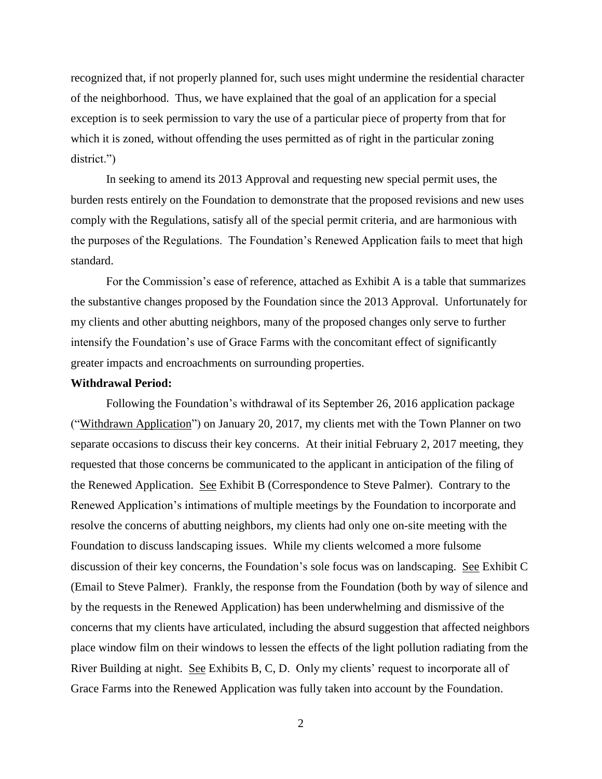recognized that, if not properly planned for, such uses might undermine the residential character of the neighborhood. Thus, we have explained that the goal of an application for a special exception is to seek permission to vary the use of a particular piece of property from that for which it is zoned, without offending the uses permitted as of right in the particular zoning district.")

In seeking to amend its 2013 Approval and requesting new special permit uses, the burden rests entirely on the Foundation to demonstrate that the proposed revisions and new uses comply with the Regulations, satisfy all of the special permit criteria, and are harmonious with the purposes of the Regulations. The Foundation's Renewed Application fails to meet that high standard.

For the Commission's ease of reference, attached as Exhibit A is a table that summarizes the substantive changes proposed by the Foundation since the 2013 Approval. Unfortunately for my clients and other abutting neighbors, many of the proposed changes only serve to further intensify the Foundation's use of Grace Farms with the concomitant effect of significantly greater impacts and encroachments on surrounding properties.

#### **Withdrawal Period:**

Following the Foundation's withdrawal of its September 26, 2016 application package ("Withdrawn Application") on January 20, 2017, my clients met with the Town Planner on two separate occasions to discuss their key concerns. At their initial February 2, 2017 meeting, they requested that those concerns be communicated to the applicant in anticipation of the filing of the Renewed Application. See Exhibit B (Correspondence to Steve Palmer). Contrary to the Renewed Application's intimations of multiple meetings by the Foundation to incorporate and resolve the concerns of abutting neighbors, my clients had only one on-site meeting with the Foundation to discuss landscaping issues. While my clients welcomed a more fulsome discussion of their key concerns, the Foundation's sole focus was on landscaping. See Exhibit C (Email to Steve Palmer). Frankly, the response from the Foundation (both by way of silence and by the requests in the Renewed Application) has been underwhelming and dismissive of the concerns that my clients have articulated, including the absurd suggestion that affected neighbors place window film on their windows to lessen the effects of the light pollution radiating from the River Building at night. See Exhibits B, C, D. Only my clients' request to incorporate all of Grace Farms into the Renewed Application was fully taken into account by the Foundation.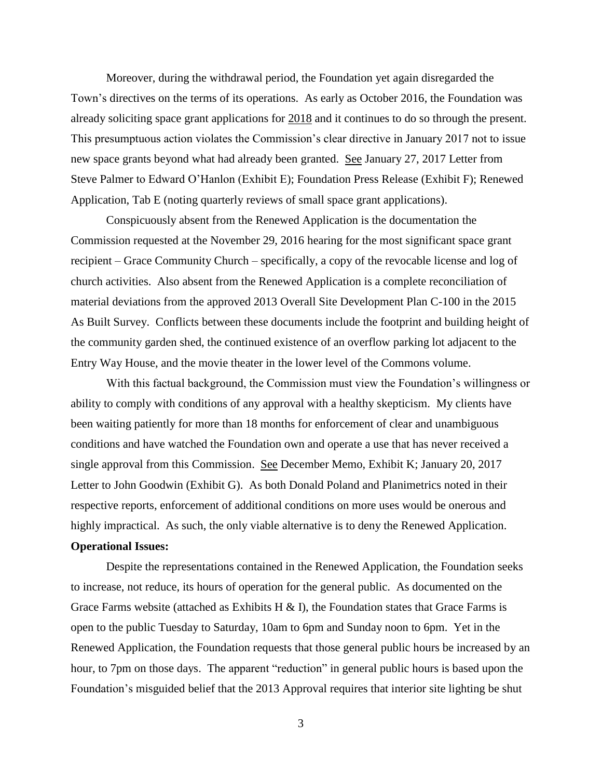Moreover, during the withdrawal period, the Foundation yet again disregarded the Town's directives on the terms of its operations. As early as October 2016, the Foundation was already soliciting space grant applications for 2018 and it continues to do so through the present. This presumptuous action violates the Commission's clear directive in January 2017 not to issue new space grants beyond what had already been granted. See January 27, 2017 Letter from Steve Palmer to Edward O'Hanlon (Exhibit E); Foundation Press Release (Exhibit F); Renewed Application, Tab E (noting quarterly reviews of small space grant applications).

Conspicuously absent from the Renewed Application is the documentation the Commission requested at the November 29, 2016 hearing for the most significant space grant recipient – Grace Community Church – specifically, a copy of the revocable license and log of church activities. Also absent from the Renewed Application is a complete reconciliation of material deviations from the approved 2013 Overall Site Development Plan C-100 in the 2015 As Built Survey. Conflicts between these documents include the footprint and building height of the community garden shed, the continued existence of an overflow parking lot adjacent to the Entry Way House, and the movie theater in the lower level of the Commons volume.

With this factual background, the Commission must view the Foundation's willingness or ability to comply with conditions of any approval with a healthy skepticism. My clients have been waiting patiently for more than 18 months for enforcement of clear and unambiguous conditions and have watched the Foundation own and operate a use that has never received a single approval from this Commission. See December Memo, Exhibit K; January 20, 2017 Letter to John Goodwin (Exhibit G). As both Donald Poland and Planimetrics noted in their respective reports, enforcement of additional conditions on more uses would be onerous and highly impractical. As such, the only viable alternative is to deny the Renewed Application.

# **Operational Issues:**

Despite the representations contained in the Renewed Application, the Foundation seeks to increase, not reduce, its hours of operation for the general public. As documented on the Grace Farms website (attached as Exhibits H & I), the Foundation states that Grace Farms is open to the public Tuesday to Saturday, 10am to 6pm and Sunday noon to 6pm. Yet in the Renewed Application, the Foundation requests that those general public hours be increased by an hour, to 7pm on those days. The apparent "reduction" in general public hours is based upon the Foundation's misguided belief that the 2013 Approval requires that interior site lighting be shut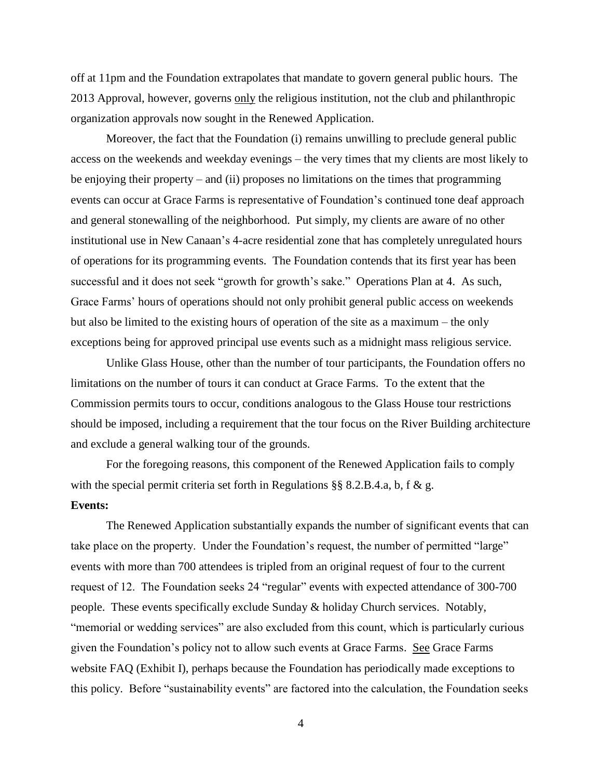off at 11pm and the Foundation extrapolates that mandate to govern general public hours. The 2013 Approval, however, governs only the religious institution, not the club and philanthropic organization approvals now sought in the Renewed Application.

Moreover, the fact that the Foundation (i) remains unwilling to preclude general public access on the weekends and weekday evenings – the very times that my clients are most likely to be enjoying their property – and (ii) proposes no limitations on the times that programming events can occur at Grace Farms is representative of Foundation's continued tone deaf approach and general stonewalling of the neighborhood. Put simply, my clients are aware of no other institutional use in New Canaan's 4-acre residential zone that has completely unregulated hours of operations for its programming events. The Foundation contends that its first year has been successful and it does not seek "growth for growth's sake." Operations Plan at 4. As such, Grace Farms' hours of operations should not only prohibit general public access on weekends but also be limited to the existing hours of operation of the site as a maximum – the only exceptions being for approved principal use events such as a midnight mass religious service.

Unlike Glass House, other than the number of tour participants, the Foundation offers no limitations on the number of tours it can conduct at Grace Farms. To the extent that the Commission permits tours to occur, conditions analogous to the Glass House tour restrictions should be imposed, including a requirement that the tour focus on the River Building architecture and exclude a general walking tour of the grounds.

For the foregoing reasons, this component of the Renewed Application fails to comply with the special permit criteria set forth in Regulations §§ 8.2.B.4.a, b, f & g.

## **Events:**

The Renewed Application substantially expands the number of significant events that can take place on the property. Under the Foundation's request, the number of permitted "large" events with more than 700 attendees is tripled from an original request of four to the current request of 12. The Foundation seeks 24 "regular" events with expected attendance of 300-700 people. These events specifically exclude Sunday & holiday Church services. Notably, "memorial or wedding services" are also excluded from this count, which is particularly curious given the Foundation's policy not to allow such events at Grace Farms. See Grace Farms website FAQ (Exhibit I), perhaps because the Foundation has periodically made exceptions to this policy. Before "sustainability events" are factored into the calculation, the Foundation seeks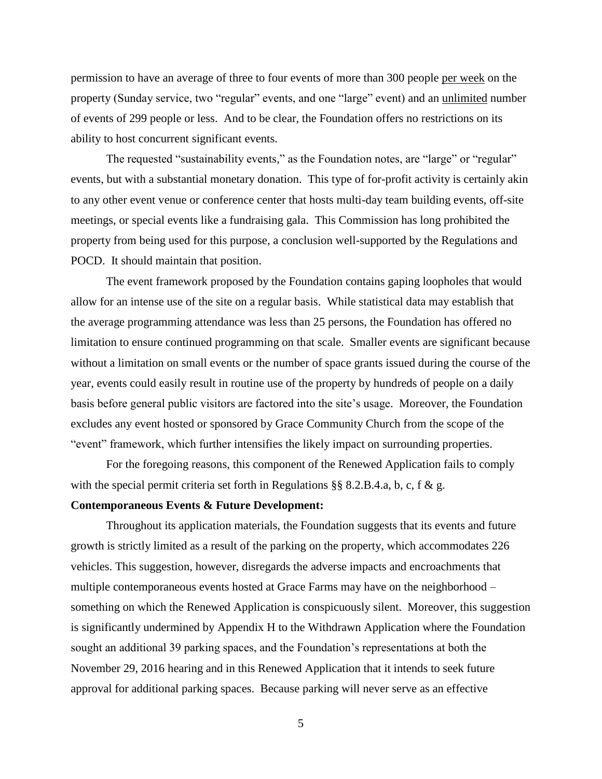permission to have an average of three to four events of more than 300 people per week on the property (Sunday service, two "regular" events, and one "large" event) and an unlimited number of events of 299 people or less. And to be clear, the Foundation offers no restrictions on its ability to host concurrent significant events.

The requested "sustainability events," as the Foundation notes, are "large" or "regular" events, but with a substantial monetary donation. This type of for-profit activity is certainly akin to any other event venue or conference center that hosts multi-day team building events, off-site meetings, or special events like a fundraising gala. This Commission has long prohibited the property from being used for this purpose, a conclusion well-supported by the Regulations and POCD. It should maintain that position.

The event framework proposed by the Foundation contains gaping loopholes that would allow for an intense use of the site on a regular basis. While statistical data may establish that the average programming attendance was less than 25 persons, the Foundation has offered no limitation to ensure continued programming on that scale. Smaller events are significant because without a limitation on small events or the number of space grants issued during the course of the year, events could easily result in routine use of the property by hundreds of people on a daily basis before general public visitors are factored into the site's usage. Moreover, the Foundation excludes any event hosted or sponsored by Grace Community Church from the scope of the "event" framework, which further intensifies the likely impact on surrounding properties.

For the foregoing reasons, this component of the Renewed Application fails to comply with the special permit criteria set forth in Regulations §§ 8.2.B.4.a, b, c, f & g.

## **Contemporaneous Events & Future Development:**

Throughout its application materials, the Foundation suggests that its events and future growth is strictly limited as a result of the parking on the property, which accommodates 226 vehicles. This suggestion, however, disregards the adverse impacts and encroachments that multiple contemporaneous events hosted at Grace Farms may have on the neighborhood – something on which the Renewed Application is conspicuously silent. Moreover, this suggestion is significantly undermined by Appendix H to the Withdrawn Application where the Foundation sought an additional 39 parking spaces, and the Foundation's representations at both the November 29, 2016 hearing and in this Renewed Application that it intends to seek future approval for additional parking spaces. Because parking will never serve as an effective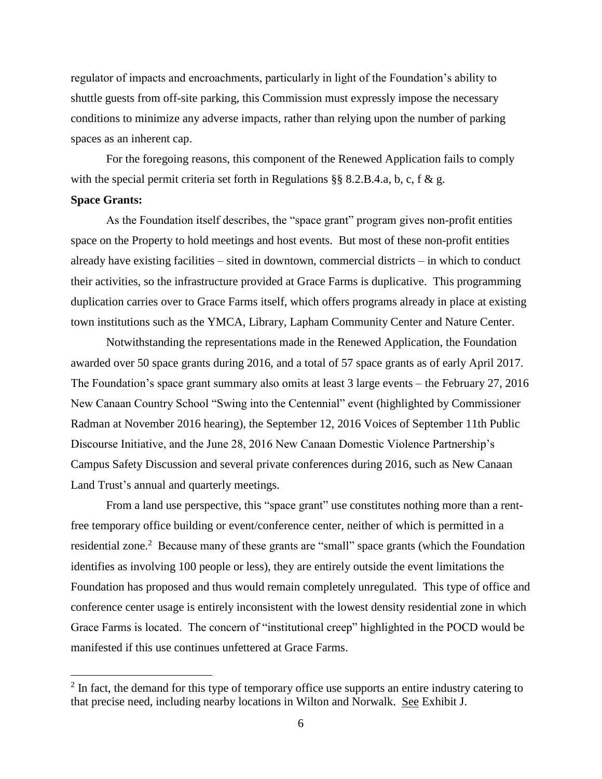regulator of impacts and encroachments, particularly in light of the Foundation's ability to shuttle guests from off-site parking, this Commission must expressly impose the necessary conditions to minimize any adverse impacts, rather than relying upon the number of parking spaces as an inherent cap.

For the foregoing reasons, this component of the Renewed Application fails to comply with the special permit criteria set forth in Regulations §§ 8.2.B.4.a, b, c, f & g.

## **Space Grants:**

 $\overline{a}$ 

As the Foundation itself describes, the "space grant" program gives non-profit entities space on the Property to hold meetings and host events. But most of these non-profit entities already have existing facilities – sited in downtown, commercial districts – in which to conduct their activities, so the infrastructure provided at Grace Farms is duplicative. This programming duplication carries over to Grace Farms itself, which offers programs already in place at existing town institutions such as the YMCA, Library, Lapham Community Center and Nature Center.

Notwithstanding the representations made in the Renewed Application, the Foundation awarded over 50 space grants during 2016, and a total of 57 space grants as of early April 2017. The Foundation's space grant summary also omits at least 3 large events – the February 27, 2016 New Canaan Country School "Swing into the Centennial" event (highlighted by Commissioner Radman at November 2016 hearing), the September 12, 2016 Voices of September 11th Public Discourse Initiative, and the June 28, 2016 New Canaan Domestic Violence Partnership's Campus Safety Discussion and several private conferences during 2016, such as New Canaan Land Trust's annual and quarterly meetings.

From a land use perspective, this "space grant" use constitutes nothing more than a rentfree temporary office building or event/conference center, neither of which is permitted in a residential zone.<sup>2</sup> Because many of these grants are "small" space grants (which the Foundation identifies as involving 100 people or less), they are entirely outside the event limitations the Foundation has proposed and thus would remain completely unregulated. This type of office and conference center usage is entirely inconsistent with the lowest density residential zone in which Grace Farms is located. The concern of "institutional creep" highlighted in the POCD would be manifested if this use continues unfettered at Grace Farms.

 $2 \text{ In fact, the demand for this type of temporary office use supports an entire industry catering to }$ that precise need, including nearby locations in Wilton and Norwalk. See Exhibit J.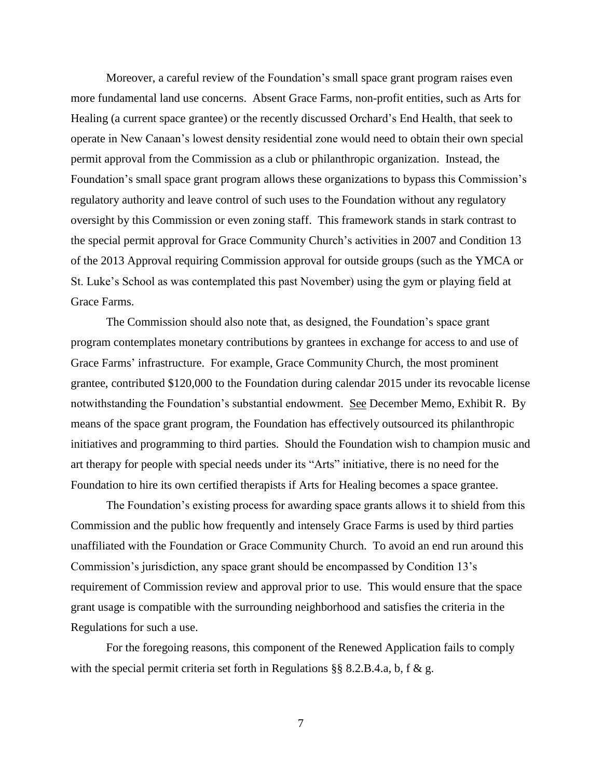Moreover, a careful review of the Foundation's small space grant program raises even more fundamental land use concerns. Absent Grace Farms, non-profit entities, such as Arts for Healing (a current space grantee) or the recently discussed Orchard's End Health, that seek to operate in New Canaan's lowest density residential zone would need to obtain their own special permit approval from the Commission as a club or philanthropic organization. Instead, the Foundation's small space grant program allows these organizations to bypass this Commission's regulatory authority and leave control of such uses to the Foundation without any regulatory oversight by this Commission or even zoning staff. This framework stands in stark contrast to the special permit approval for Grace Community Church's activities in 2007 and Condition 13 of the 2013 Approval requiring Commission approval for outside groups (such as the YMCA or St. Luke's School as was contemplated this past November) using the gym or playing field at Grace Farms.

The Commission should also note that, as designed, the Foundation's space grant program contemplates monetary contributions by grantees in exchange for access to and use of Grace Farms' infrastructure. For example, Grace Community Church, the most prominent grantee, contributed \$120,000 to the Foundation during calendar 2015 under its revocable license notwithstanding the Foundation's substantial endowment. See December Memo, Exhibit R. By means of the space grant program, the Foundation has effectively outsourced its philanthropic initiatives and programming to third parties. Should the Foundation wish to champion music and art therapy for people with special needs under its "Arts" initiative, there is no need for the Foundation to hire its own certified therapists if Arts for Healing becomes a space grantee.

The Foundation's existing process for awarding space grants allows it to shield from this Commission and the public how frequently and intensely Grace Farms is used by third parties unaffiliated with the Foundation or Grace Community Church. To avoid an end run around this Commission's jurisdiction, any space grant should be encompassed by Condition 13's requirement of Commission review and approval prior to use. This would ensure that the space grant usage is compatible with the surrounding neighborhood and satisfies the criteria in the Regulations for such a use.

For the foregoing reasons, this component of the Renewed Application fails to comply with the special permit criteria set forth in Regulations  $\S\S 8.2.B.4.a$ , b, f & g.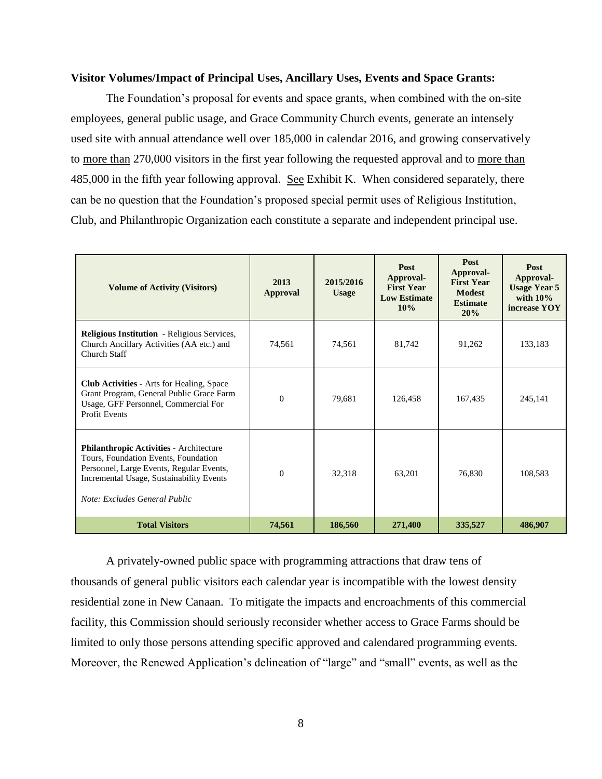#### **Visitor Volumes/Impact of Principal Uses, Ancillary Uses, Events and Space Grants:**

The Foundation's proposal for events and space grants, when combined with the on-site employees, general public usage, and Grace Community Church events, generate an intensely used site with annual attendance well over 185,000 in calendar 2016, and growing conservatively to more than 270,000 visitors in the first year following the requested approval and to more than 485,000 in the fifth year following approval. See Exhibit K. When considered separately, there can be no question that the Foundation's proposed special permit uses of Religious Institution, Club, and Philanthropic Organization each constitute a separate and independent principal use.

| <b>Volume of Activity (Visitors)</b>                                                                                                                                                                            | 2013<br><b>Approval</b> | 2015/2016<br><b>Usage</b> | Post<br>Approval-<br><b>First Year</b><br><b>Low Estimate</b><br>10% | Post<br>Approval-<br><b>First Year</b><br><b>Modest</b><br><b>Estimate</b><br>20% | Post<br>Approval-<br><b>Usage Year 5</b><br>with $10\%$<br>increase YOY |
|-----------------------------------------------------------------------------------------------------------------------------------------------------------------------------------------------------------------|-------------------------|---------------------------|----------------------------------------------------------------------|-----------------------------------------------------------------------------------|-------------------------------------------------------------------------|
| <b>Religious Institution</b> - Religious Services,<br>Church Ancillary Activities (AA etc.) and<br>Church Staff                                                                                                 | 74,561                  | 74,561                    | 81,742                                                               | 91,262                                                                            | 133,183                                                                 |
| <b>Club Activities - Arts for Healing, Space</b><br>Grant Program, General Public Grace Farm<br>Usage, GFF Personnel, Commercial For<br><b>Profit Events</b>                                                    | $\Omega$                | 79,681                    | 126,458                                                              | 167,435                                                                           | 245,141                                                                 |
| <b>Philanthropic Activities - Architecture</b><br>Tours, Foundation Events, Foundation<br>Personnel, Large Events, Regular Events,<br>Incremental Usage, Sustainability Events<br>Note: Excludes General Public | $\Omega$                | 32,318                    | 63,201                                                               | 76,830                                                                            | 108,583                                                                 |
| <b>Total Visitors</b>                                                                                                                                                                                           | 74,561                  | 186,560                   | 271,400                                                              | 335,527                                                                           | 486,907                                                                 |

A privately-owned public space with programming attractions that draw tens of thousands of general public visitors each calendar year is incompatible with the lowest density residential zone in New Canaan. To mitigate the impacts and encroachments of this commercial facility, this Commission should seriously reconsider whether access to Grace Farms should be limited to only those persons attending specific approved and calendared programming events. Moreover, the Renewed Application's delineation of "large" and "small" events, as well as the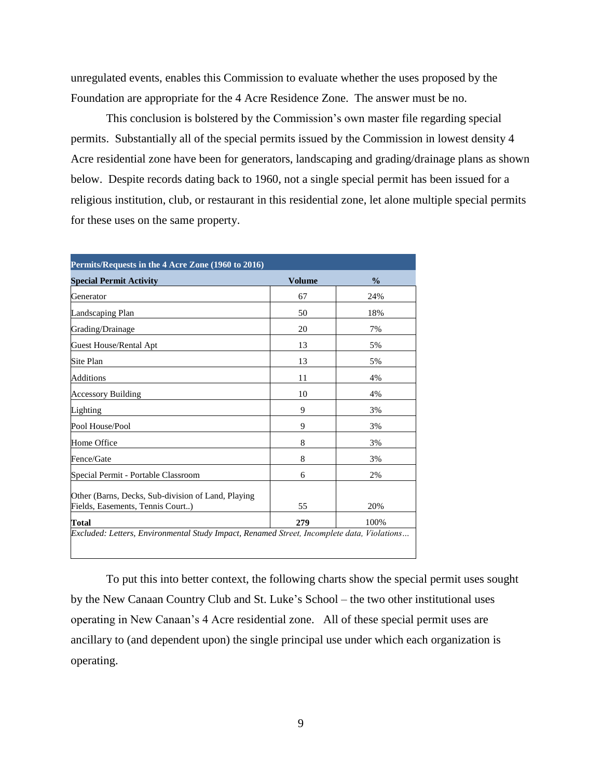unregulated events, enables this Commission to evaluate whether the uses proposed by the Foundation are appropriate for the 4 Acre Residence Zone. The answer must be no.

This conclusion is bolstered by the Commission's own master file regarding special permits. Substantially all of the special permits issued by the Commission in lowest density 4 Acre residential zone have been for generators, landscaping and grading/drainage plans as shown below. Despite records dating back to 1960, not a single special permit has been issued for a religious institution, club, or restaurant in this residential zone, let alone multiple special permits for these uses on the same property.

| <b>Special Permit Activity</b>                                                         | <b>Volume</b> | $\frac{0}{0}$ |
|----------------------------------------------------------------------------------------|---------------|---------------|
| Generator                                                                              | 67            | 24%           |
| Landscaping Plan                                                                       | 50            | 18%           |
| Grading/Drainage                                                                       | 20            | 7%            |
| <b>Guest House/Rental Apt</b>                                                          | 13            | 5%            |
| Site Plan                                                                              | 13            | 5%            |
| Additions                                                                              | 11            | 4%            |
| <b>Accessory Building</b>                                                              | 10            | 4%            |
| Lighting                                                                               | 9             | 3%            |
| Pool House/Pool                                                                        | 9             | 3%            |
| Home Office                                                                            | 8             | 3%            |
| Fence/Gate                                                                             | 8             | 3%            |
| Special Permit - Portable Classroom                                                    | 6             | 2%            |
| Other (Barns, Decks, Sub-division of Land, Playing<br>Fields, Easements, Tennis Court) | 55            | 20%           |
| Total                                                                                  | 279           | 100%          |

To put this into better context, the following charts show the special permit uses sought by the New Canaan Country Club and St. Luke's School – the two other institutional uses operating in New Canaan's 4 Acre residential zone. All of these special permit uses are ancillary to (and dependent upon) the single principal use under which each organization is operating.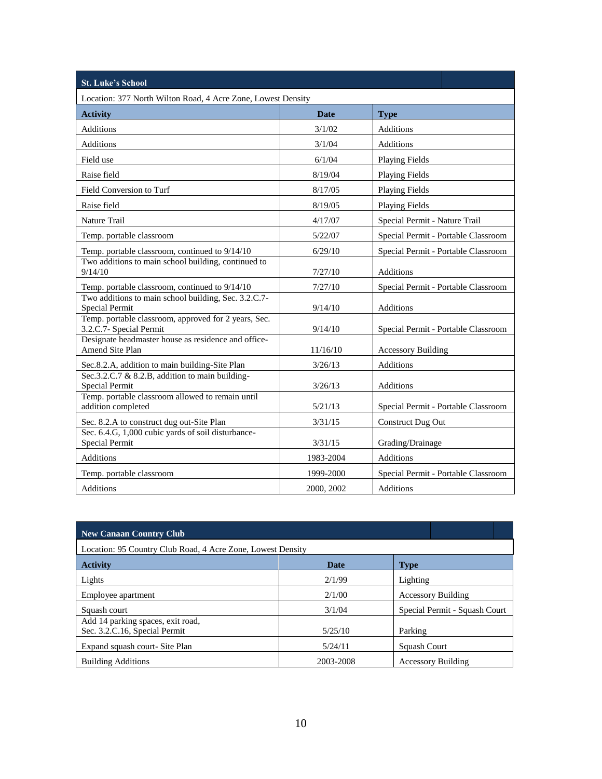| <b>St. Luke's School</b>                                                        |            |                                     |  |  |  |  |  |
|---------------------------------------------------------------------------------|------------|-------------------------------------|--|--|--|--|--|
| Location: 377 North Wilton Road, 4 Acre Zone, Lowest Density                    |            |                                     |  |  |  |  |  |
| <b>Activity</b>                                                                 | Date       | <b>Type</b>                         |  |  |  |  |  |
| <b>Additions</b>                                                                | 3/1/02     | <b>Additions</b>                    |  |  |  |  |  |
| Additions                                                                       | 3/1/04     | <b>Additions</b>                    |  |  |  |  |  |
| Field use                                                                       | 6/1/04     | <b>Playing Fields</b>               |  |  |  |  |  |
| Raise field                                                                     | 8/19/04    | <b>Playing Fields</b>               |  |  |  |  |  |
| Field Conversion to Turf                                                        | 8/17/05    | <b>Playing Fields</b>               |  |  |  |  |  |
| Raise field                                                                     | 8/19/05    | <b>Playing Fields</b>               |  |  |  |  |  |
| <b>Nature Trail</b>                                                             | 4/17/07    | Special Permit - Nature Trail       |  |  |  |  |  |
| Temp. portable classroom                                                        | 5/22/07    | Special Permit - Portable Classroom |  |  |  |  |  |
| Temp. portable classroom, continued to 9/14/10                                  | 6/29/10    | Special Permit - Portable Classroom |  |  |  |  |  |
| Two additions to main school building, continued to<br>9/14/10                  | 7/27/10    | <b>Additions</b>                    |  |  |  |  |  |
| Temp. portable classroom, continued to 9/14/10                                  | 7/27/10    | Special Permit - Portable Classroom |  |  |  |  |  |
| Two additions to main school building, Sec. 3.2.C.7-<br><b>Special Permit</b>   | 9/14/10    | <b>Additions</b>                    |  |  |  |  |  |
| Temp. portable classroom, approved for 2 years, Sec.<br>3.2.C.7- Special Permit | 9/14/10    | Special Permit - Portable Classroom |  |  |  |  |  |
| Designate headmaster house as residence and office-<br>Amend Site Plan          | 11/16/10   | <b>Accessory Building</b>           |  |  |  |  |  |
| Sec.8.2.A, addition to main building-Site Plan                                  | 3/26/13    | <b>Additions</b>                    |  |  |  |  |  |
| Sec.3.2.C.7 & 8.2.B, addition to main building-<br>Special Permit               | 3/26/13    | <b>Additions</b>                    |  |  |  |  |  |
| Temp. portable classroom allowed to remain until<br>addition completed          | 5/21/13    | Special Permit - Portable Classroom |  |  |  |  |  |
| Sec. 8.2.A to construct dug out-Site Plan                                       | 3/31/15    | <b>Construct Dug Out</b>            |  |  |  |  |  |
| Sec. 6.4.G, 1,000 cubic yards of soil disturbance-<br><b>Special Permit</b>     | 3/31/15    | Grading/Drainage                    |  |  |  |  |  |
| <b>Additions</b>                                                                | 1983-2004  | <b>Additions</b>                    |  |  |  |  |  |
| Temp. portable classroom                                                        | 1999-2000  | Special Permit - Portable Classroom |  |  |  |  |  |
| <b>Additions</b>                                                                | 2000, 2002 | <b>Additions</b>                    |  |  |  |  |  |

| <b>New Canaan Country Club</b>                              |                                 |  |  |  |  |  |
|-------------------------------------------------------------|---------------------------------|--|--|--|--|--|
| Location: 95 Country Club Road, 4 Acre Zone, Lowest Density |                                 |  |  |  |  |  |
| <b>Date</b>                                                 | <b>Type</b>                     |  |  |  |  |  |
| 2/1/99                                                      | Lighting                        |  |  |  |  |  |
| 2/1/00                                                      | <b>Accessory Building</b>       |  |  |  |  |  |
| 3/1/04                                                      | Special Permit - Squash Court   |  |  |  |  |  |
|                                                             |                                 |  |  |  |  |  |
|                                                             | Parking<br>Squash Court         |  |  |  |  |  |
| <b>Accessory Building</b>                                   |                                 |  |  |  |  |  |
|                                                             | 5/25/10<br>5/24/11<br>2003-2008 |  |  |  |  |  |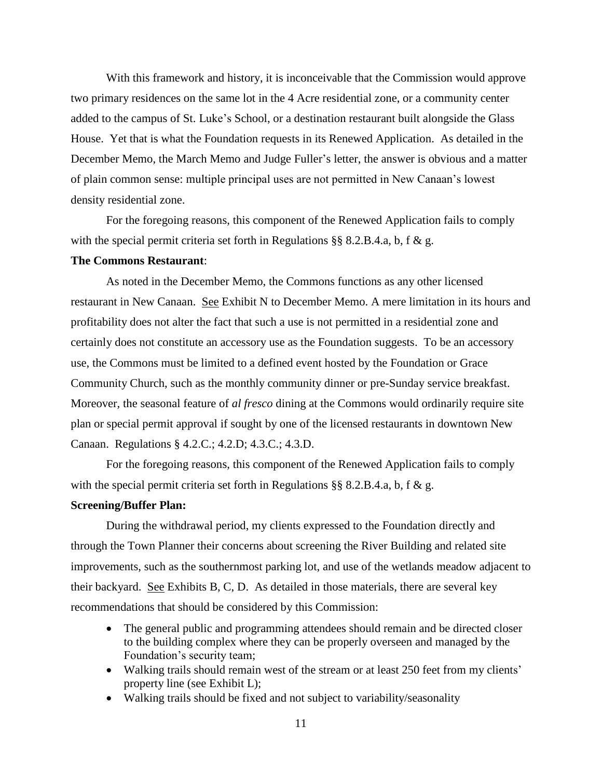With this framework and history, it is inconceivable that the Commission would approve two primary residences on the same lot in the 4 Acre residential zone, or a community center added to the campus of St. Luke's School, or a destination restaurant built alongside the Glass House. Yet that is what the Foundation requests in its Renewed Application. As detailed in the December Memo, the March Memo and Judge Fuller's letter, the answer is obvious and a matter of plain common sense: multiple principal uses are not permitted in New Canaan's lowest density residential zone.

For the foregoing reasons, this component of the Renewed Application fails to comply with the special permit criteria set forth in Regulations  $\S$ § 8.2.B.4.a, b, f & g.

#### **The Commons Restaurant**:

As noted in the December Memo, the Commons functions as any other licensed restaurant in New Canaan. See Exhibit N to December Memo. A mere limitation in its hours and profitability does not alter the fact that such a use is not permitted in a residential zone and certainly does not constitute an accessory use as the Foundation suggests. To be an accessory use, the Commons must be limited to a defined event hosted by the Foundation or Grace Community Church, such as the monthly community dinner or pre-Sunday service breakfast. Moreover, the seasonal feature of *al fresco* dining at the Commons would ordinarily require site plan or special permit approval if sought by one of the licensed restaurants in downtown New Canaan. Regulations § 4.2.C.; 4.2.D; 4.3.C.; 4.3.D.

For the foregoing reasons, this component of the Renewed Application fails to comply with the special permit criteria set forth in Regulations  $\S § 8.2.B.4.a, b, f & g.$ 

## **Screening/Buffer Plan:**

During the withdrawal period, my clients expressed to the Foundation directly and through the Town Planner their concerns about screening the River Building and related site improvements, such as the southernmost parking lot, and use of the wetlands meadow adjacent to their backyard. See Exhibits B, C, D. As detailed in those materials, there are several key recommendations that should be considered by this Commission:

- The general public and programming attendees should remain and be directed closer to the building complex where they can be properly overseen and managed by the Foundation's security team;
- Walking trails should remain west of the stream or at least 250 feet from my clients' property line (see Exhibit L);
- Walking trails should be fixed and not subject to variability/seasonality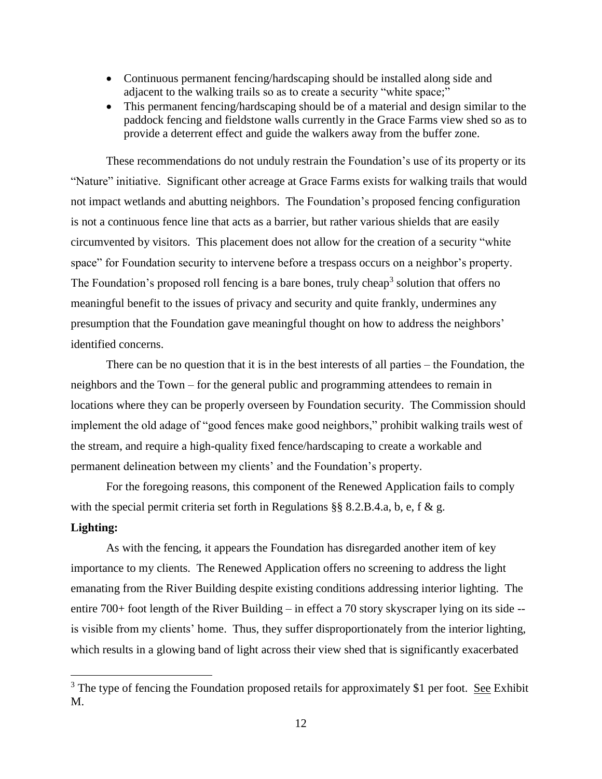- Continuous permanent fencing/hardscaping should be installed along side and adjacent to the walking trails so as to create a security "white space;"
- This permanent fencing/hardscaping should be of a material and design similar to the paddock fencing and fieldstone walls currently in the Grace Farms view shed so as to provide a deterrent effect and guide the walkers away from the buffer zone.

These recommendations do not unduly restrain the Foundation's use of its property or its "Nature" initiative. Significant other acreage at Grace Farms exists for walking trails that would not impact wetlands and abutting neighbors. The Foundation's proposed fencing configuration is not a continuous fence line that acts as a barrier, but rather various shields that are easily circumvented by visitors. This placement does not allow for the creation of a security "white space" for Foundation security to intervene before a trespass occurs on a neighbor's property. The Foundation's proposed roll fencing is a bare bones, truly cheap<sup>3</sup> solution that offers no meaningful benefit to the issues of privacy and security and quite frankly, undermines any presumption that the Foundation gave meaningful thought on how to address the neighbors' identified concerns.

There can be no question that it is in the best interests of all parties – the Foundation, the neighbors and the Town – for the general public and programming attendees to remain in locations where they can be properly overseen by Foundation security. The Commission should implement the old adage of "good fences make good neighbors," prohibit walking trails west of the stream, and require a high-quality fixed fence/hardscaping to create a workable and permanent delineation between my clients' and the Foundation's property.

For the foregoing reasons, this component of the Renewed Application fails to comply with the special permit criteria set forth in Regulations §§ 8.2.B.4.a, b, e, f & g. **Lighting:**

As with the fencing, it appears the Foundation has disregarded another item of key importance to my clients. The Renewed Application offers no screening to address the light emanating from the River Building despite existing conditions addressing interior lighting. The entire 700+ foot length of the River Building – in effect a 70 story skyscraper lying on its side - is visible from my clients' home. Thus, they suffer disproportionately from the interior lighting, which results in a glowing band of light across their view shed that is significantly exacerbated

 $\overline{a}$ 

 $3$  The type of fencing the Foundation proposed retails for approximately \$1 per foot. See Exhibit M.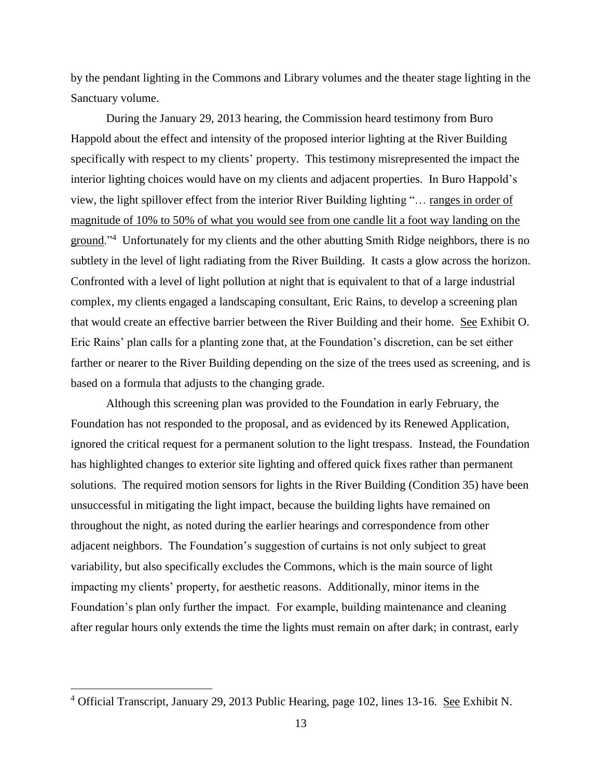by the pendant lighting in the Commons and Library volumes and the theater stage lighting in the Sanctuary volume.

During the January 29, 2013 hearing, the Commission heard testimony from Buro Happold about the effect and intensity of the proposed interior lighting at the River Building specifically with respect to my clients' property. This testimony misrepresented the impact the interior lighting choices would have on my clients and adjacent properties. In Buro Happold's view, the light spillover effect from the interior River Building lighting "… ranges in order of magnitude of 10% to 50% of what you would see from one candle lit a foot way landing on the ground."<sup>4</sup> Unfortunately for my clients and the other abutting Smith Ridge neighbors, there is no subtlety in the level of light radiating from the River Building. It casts a glow across the horizon. Confronted with a level of light pollution at night that is equivalent to that of a large industrial complex, my clients engaged a landscaping consultant, Eric Rains, to develop a screening plan that would create an effective barrier between the River Building and their home. See Exhibit O. Eric Rains' plan calls for a planting zone that, at the Foundation's discretion, can be set either farther or nearer to the River Building depending on the size of the trees used as screening, and is based on a formula that adjusts to the changing grade.

Although this screening plan was provided to the Foundation in early February, the Foundation has not responded to the proposal, and as evidenced by its Renewed Application, ignored the critical request for a permanent solution to the light trespass. Instead, the Foundation has highlighted changes to exterior site lighting and offered quick fixes rather than permanent solutions. The required motion sensors for lights in the River Building (Condition 35) have been unsuccessful in mitigating the light impact, because the building lights have remained on throughout the night, as noted during the earlier hearings and correspondence from other adjacent neighbors. The Foundation's suggestion of curtains is not only subject to great variability, but also specifically excludes the Commons, which is the main source of light impacting my clients' property, for aesthetic reasons. Additionally, minor items in the Foundation's plan only further the impact. For example, building maintenance and cleaning after regular hours only extends the time the lights must remain on after dark; in contrast, early

 $\overline{a}$ 

 $4$  Official Transcript, January 29, 2013 Public Hearing, page 102, lines 13-16. See Exhibit N.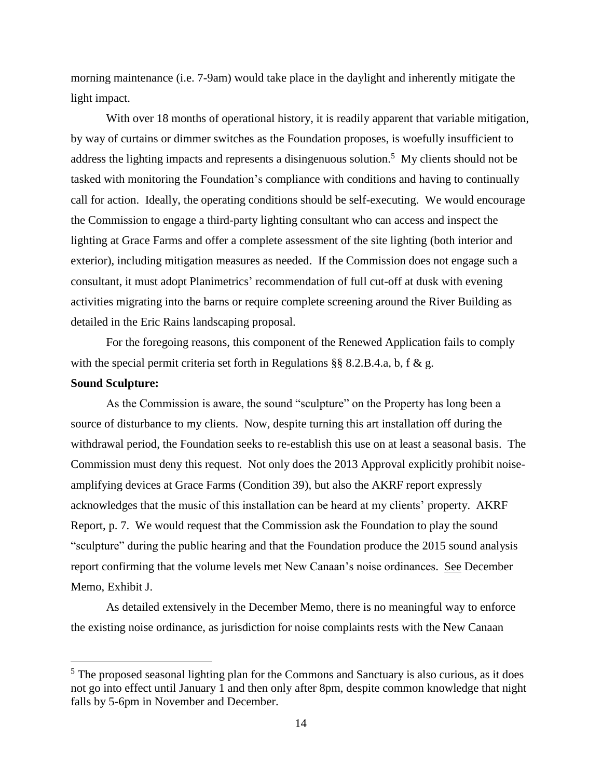morning maintenance (i.e. 7-9am) would take place in the daylight and inherently mitigate the light impact.

With over 18 months of operational history, it is readily apparent that variable mitigation, by way of curtains or dimmer switches as the Foundation proposes, is woefully insufficient to address the lighting impacts and represents a disingenuous solution.<sup>5</sup> My clients should not be tasked with monitoring the Foundation's compliance with conditions and having to continually call for action. Ideally, the operating conditions should be self-executing. We would encourage the Commission to engage a third-party lighting consultant who can access and inspect the lighting at Grace Farms and offer a complete assessment of the site lighting (both interior and exterior), including mitigation measures as needed. If the Commission does not engage such a consultant, it must adopt Planimetrics' recommendation of full cut-off at dusk with evening activities migrating into the barns or require complete screening around the River Building as detailed in the Eric Rains landscaping proposal.

For the foregoing reasons, this component of the Renewed Application fails to comply with the special permit criteria set forth in Regulations  $\S$ § 8.2.B.4.a, b, f & g.

## **Sound Sculpture:**

 $\overline{a}$ 

As the Commission is aware, the sound "sculpture" on the Property has long been a source of disturbance to my clients. Now, despite turning this art installation off during the withdrawal period, the Foundation seeks to re-establish this use on at least a seasonal basis. The Commission must deny this request. Not only does the 2013 Approval explicitly prohibit noiseamplifying devices at Grace Farms (Condition 39), but also the AKRF report expressly acknowledges that the music of this installation can be heard at my clients' property. AKRF Report, p. 7. We would request that the Commission ask the Foundation to play the sound "sculpture" during the public hearing and that the Foundation produce the 2015 sound analysis report confirming that the volume levels met New Canaan's noise ordinances. See December Memo, Exhibit J.

As detailed extensively in the December Memo, there is no meaningful way to enforce the existing noise ordinance, as jurisdiction for noise complaints rests with the New Canaan

<sup>&</sup>lt;sup>5</sup> The proposed seasonal lighting plan for the Commons and Sanctuary is also curious, as it does not go into effect until January 1 and then only after 8pm, despite common knowledge that night falls by 5-6pm in November and December.